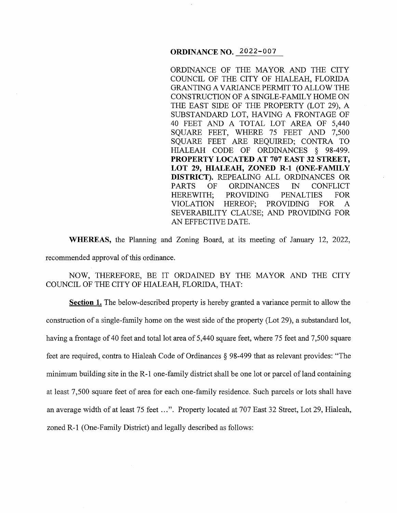## **ORDINANCE NO.** 2022-007

ORDINANCE OF THE MAYOR AND THE CITY COUNCIL OF THE CITY OF HIALEAH, FLORIDA GRANTING A VARIANCE PERMIT TO ALLOW THE CONSTRUCTION OF A SINGLE-FAMILY HOME ON THE EAST SIDE OF THE PROPERTY (LOT 29), A SUBSTANDARD LOT, HAVING A FRONTAGE OF 40 FEET AND A TOTAL LOT AREA OF 5,440 SQUARE FEET, WHERE 75 FEET AND 7,500 SQUARE FEET ARE REQUIRED; CONTRA TO HIALEAH CODE OF ORDINANCES § 98-499. **PROPERTY LOCATED AT 707 EAST 32 STREET, LOT 29, HIALEAH, ZONED R-1 (ONE-FAMILY DISTRICT).** REPEALING ALL ORDINANCES OR PARTS OF ORDINANCES IN CONFLICT HEREWITH; PROVIDING PENALTIES FOR VIOLATION HEREOF; PROVIDING FOR A SEVERABILITY CLAUSE; AND PROVIDING FOR AN EFFECTIVE DATE.

**WHEREAS,** the Planning and Zoning Board, at its meeting of January 12, 2022, recommended approval of this ordinance.

NOW, THEREFORE, BE IT ORDAINED BY THE MAYOR AND THE CITY COUNCIL OF THE CITY OF HIALEAH, FLORIDA, THAT:

**Section 1.** The below-described property is hereby granted a variance permit to allow the construction of a single-family home on the west side of the property (Lot 29), a substandard lot, having a frontage of 40 feet and total lot area of 5,440 square feet, where 75 feet and 7,500 square feet are required, contra to Hialeah Code of Ordinances § 98-499 that as relevant provides: "The minimum building site in the R-1 one-family district shall be one lot or parcel of land containing at least 7,500 square feet of area for each one-family residence. Such parcels or lots shall have an average width of at least 75 feet ... ". Property located at 707 East 32 Street, Lot 29, Hialeah, zoned R-1 (One-Family District) and legally described as follows: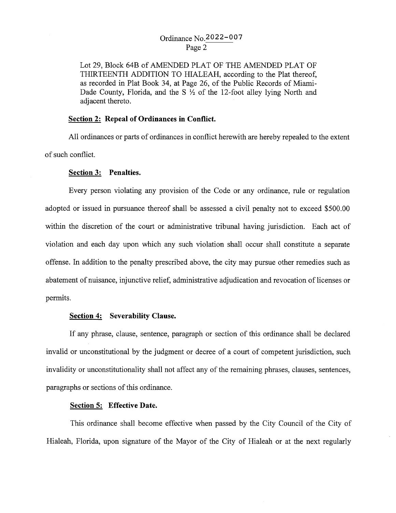# Ordinance No.2022-007 Page 2

Lot 29, Block 64B of AMENDED PLAT OF THE AMENDED PLAT OF THIRTEENTH ADDITION TO HIALEAH, according to the Plat thereof, as recorded in Plat Book 34, at Page 26, of the Public Records of Miami-Dade County, Florida, and the S  $\frac{1}{2}$  of the 12-foot alley lying North and adjacent thereto.

## **Section 2: Repeal of Ordinances in Conflict.**

All ordinances or parts of ordinances in conflict herewith are hereby repealed to the extent of such conflict.

#### **Section 3: Penalties.**

Every person violating any provision of the Code or any ordinance, rule or regulation adopted or issued in pursuance thereof shall be assessed a civil penalty not to exceed \$500.00 within the discretion of the court or administrative tribunal having jurisdiction. Each act of violation and each day upon which any such violation shall occur shall constitute a separate offense. In addition to the penalty prescribed above, the city may pursue other remedies such as abatement of nuisance, injunctive relief, administrative adjudication and revocation of licenses or permits.

#### **Section 4: Severability Clause.**

If any phrase, clause, sentence, paragraph or section of this ordinance shall be declared invalid or unconstitutional by the judgment or decree of a court of competent jurisdiction, such invalidity or unconstitutionality shall not affect any of the remaining phrases, clauses, sentences, paragraphs or sections of this ordinance.

### **Section 5: Effective Date.**

This ordinance shall become effective when passed by the City Council of the City of Hialeah, Florida, upon signature of the Mayor of the City of Hialeah or at the next regularly